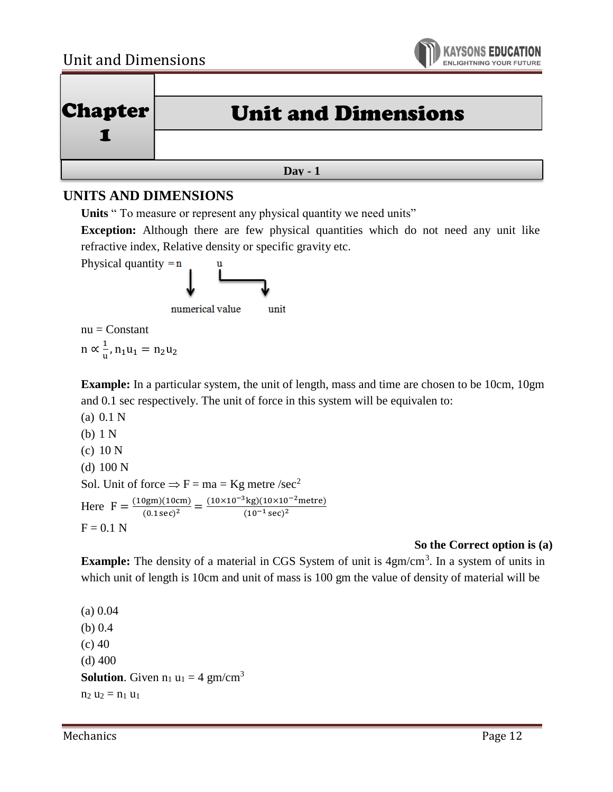

| <b>Chapter</b> | <b>Unit and Dimensions</b> |  |  |
|----------------|----------------------------|--|--|
|                |                            |  |  |
|                | $\bf{D}$ av - 1            |  |  |

### **UNITS AND DIMENSIONS**  $\frac{1}{\sqrt{1-\frac{1}{2}}}$

**Units** " To measure or represent any physical quantity we need units"

**Exception:** Although there are few physical quantities which do not need any unit like refractive index, Relative density or specific gravity etc.

Physical quantity  $=n$ 



 $nu = Constant$  $n \propto \frac{1}{n}$  $\frac{1}{u}$ ,  $n_1u_1 = n_2u_2$ 

**Example:** In a particular system, the unit of length, mass and time are chosen to be 10cm, 10gm and 0.1 sec respectively. The unit of force in this system will be equivalen to:

(a) 0.1 N (b) 1 N (c) 10 N (d) 100 N Sol. Unit of force  $\Rightarrow$  F = ma = Kg metre /sec<sup>2</sup> Here  $F = \frac{(10gm)(10cm)}{(0.4cm)^2}$  $\frac{(0.1 \text{ sec})^2}{(0.1 \text{ sec})^2} = \frac{(10 \times 10^{-3} \text{kg})(10 \times 10^{-2} \text{meter})}{(10^{-1} \text{ sec})^2}$  $(10^{-1}$  sec)<sup>2</sup>  $F = 0.1 N$ 

**So the Correct option is (a)**

**Example:** The density of a material in CGS System of unit is  $4gm/cm<sup>3</sup>$ . In a system of units in which unit of length is 10cm and unit of mass is 100 gm the value of density of material will be

(a) 0.04 (b) 0.4  $(c)$  40 (d) 400 **Solution**. Given  $n_1 u_1 = 4$  gm/cm<sup>3</sup>  $n_2 u_2 = n_1 u_1$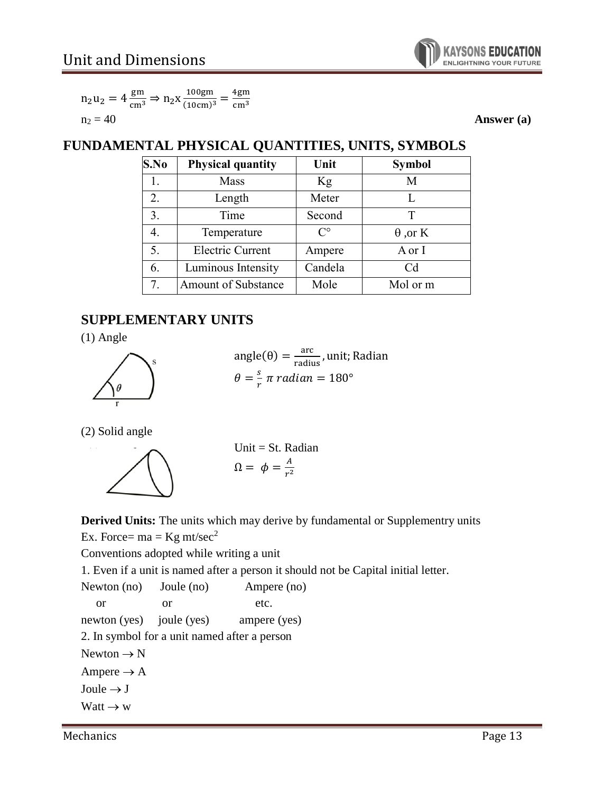

$$
n_2 u_2 = 4 \frac{gm}{cm^3} \Rightarrow n_2 x \frac{100gm}{(10cm)^3} = \frac{4gm}{cm^3}
$$
  

$$
n_2 = 40
$$

Answer (a)

# **FUNDAMENTAL PHYSICAL QUANTITIES, UNITS, SYMBOLS**

| S.No | <b>Physical quantity</b>   | Unit        | <b>Symbol</b>   |
|------|----------------------------|-------------|-----------------|
|      | <b>Mass</b>                | Kg          |                 |
| 2.   | Length                     | Meter       | L               |
| 3.   | Time                       | Second      | т               |
| 4.   | Temperature                | $C^{\circ}$ | $\theta$ , or K |
| 5.   | <b>Electric Current</b>    | Ampere      | A or I          |
| 6.   | Luminous Intensity         | Candela     | C <sub>d</sub>  |
| 7.   | <b>Amount of Substance</b> | Mole        | Mol or m        |

## **SUPPLEMENTARY UNITS**

(1) Angle



angle(
$$
\theta
$$
) =  $\frac{\text{arc}}{\text{radius}}$ , unit; Radian  
 $\theta = \frac{s}{r} \pi \, \text{radian} = 180^\circ$ 

(2) Solid angle



Unit = St. Radian  

$$
\Omega = \phi = \frac{A}{r^2}
$$

**Derived Units:** The units which may derive by fundamental or Supplementry units Ex. Force=  $ma = Kg$  mt/sec<sup>2</sup>

Conventions adopted while writing a unit

1. Even if a unit is named after a person it should not be Capital initial letter.

```
Newton (no) Joule (no) Ampere (no) 
 or or etc.
newton (yes) joule (yes) ampere (yes) 
2. In symbol for a unit named after a person
Newton \rightarrow N
Ampere \rightarrow A
Joule \rightarrow J
Watt \rightarrow w
```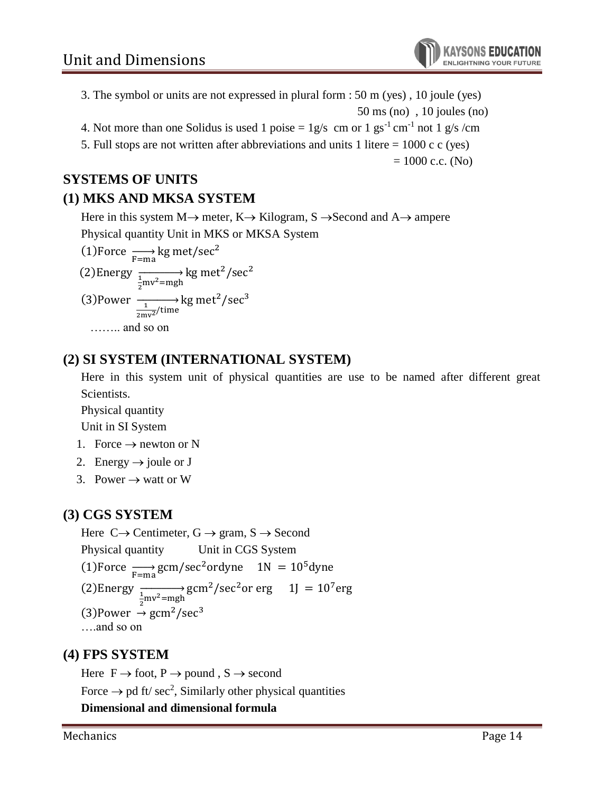

- 3. The symbol or units are not expressed in plural form : 50 m (yes) , 10 joule (yes)
- 50 ms (no) , 10 joules (no) 4. Not more than one Solidus is used 1 poise =  $1g/s$  cm or 1 gs<sup>-1</sup> cm<sup>-1</sup> not 1 g/s /cm
- 5. Full stops are not written after abbreviations and units 1 litere  $= 1000$  c c (yes)

 $= 1000$  c.c. (No)

# **SYSTEMS OF UNITS**

# **(1) MKS AND MKSA SYSTEM**

Here in this system  $M \rightarrow$  meter,  $K \rightarrow$  Kilogram, S  $\rightarrow$  Second and A $\rightarrow$  ampere Physical quantity Unit in MKS or MKSA System

(1)Force  $\longrightarrow_{\text{F=ma}}$  kg met/sec<sup>2</sup>

(2)Energy 
$$
\xrightarrow{1, \ldots, 2, \ldots, k}
$$
 kg met<sup>2</sup>/sec<sup>2</sup>

 $\frac{1}{2}$ mv<sup>2</sup>=mgh (3)Power  $-\frac{1}{1}$  $\frac{1}{2mv^2}$ /time  $\longrightarrow$ kg met<sup>2</sup>/sec<sup>3</sup>

…….. and so on

# **(2) SI SYSTEM (INTERNATIONAL SYSTEM)**

Here in this system unit of physical quantities are use to be named after different great Scientists.

Physical quantity

Unit in SI System

- 1. Force  $\rightarrow$  newton or N
- 2. Energy  $\rightarrow$  joule or J
- 3. Power  $\rightarrow$  watt or W

# **(3) CGS SYSTEM**

Here  $C \rightarrow$  Centimeter,  $G \rightarrow$  gram,  $S \rightarrow$  Second Physical quantity Unit in CGS System (1)Force  $\longrightarrow$  gcm/sec<sup>2</sup>ordyne 1N = 10<sup>5</sup>dyne F=ma (2)Energy  $\frac{1}{1}$  $\frac{1}{2}$ mv<sup>2</sup>=mgh  $\frac{1}{1}$   $\rightarrow$  gcm<sup>2</sup>/sec<sup>2</sup>or erg 1J = 10<sup>7</sup>erg  $(3)$ Power  $\rightarrow$  gcm<sup>2</sup>/sec<sup>3</sup> ….and so on

### **(4) FPS SYSTEM**

Here  $F \to$  foot,  $P \to$  pound,  $S \to$  second Force  $\rightarrow$  pd ft/ sec<sup>2</sup>, Similarly other physical quantities **Dimensional and dimensional formula**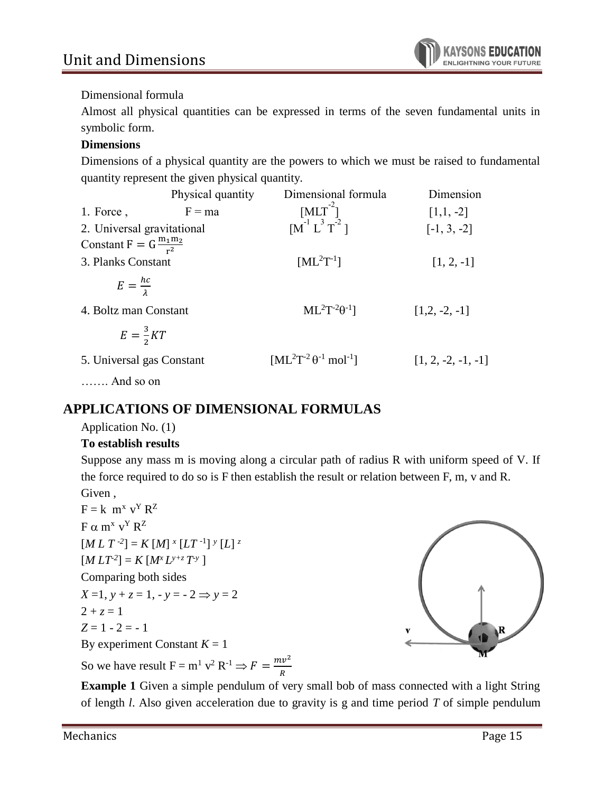#### Dimensional formula

Almost all physical quantities can be expressed in terms of the seven fundamental units in symbolic form.

#### **Dimensions**

Dimensions of a physical quantity are the powers to which we must be raised to fundamental quantity represent the given physical quantity.

|                                      | Physical quantity | Dimensional formula                        | Dimension            |
|--------------------------------------|-------------------|--------------------------------------------|----------------------|
| 1. Force,                            | $F = ma$          | $[MLT^2]$                                  | $[1,1,-2]$           |
| 2. Universal gravitational           |                   | $[M^{-1} L^3 T^{-2}]$                      | $[-1, 3, -2]$        |
| Constant $F = G \frac{m_1 m_2}{r^2}$ |                   |                                            |                      |
| 3. Planks Constant                   |                   | $[ML^2T^{-1}]$                             | $[1, 2, -1]$         |
| $E=\frac{hc}{\lambda}$               |                   |                                            |                      |
| 4. Boltz man Constant                |                   | $ML^2T^{-2}\theta^{-1}$ ]                  | $[1,2, -2, -1]$      |
| $E=\frac{3}{2}KT$                    |                   |                                            |                      |
| 5. Universal gas Constant            |                   | $[ML^2T^{-2}\theta^{-1} \text{ mol}^{-1}]$ | $[1, 2, -2, -1, -1]$ |
|                                      |                   |                                            |                      |

……. And so on

# **APPLICATIONS OF DIMENSIONAL FORMULAS**

### Application No. (1)

#### **To establish results**

Suppose any mass m is moving along a circular path of radius R with uniform speed of V. If the force required to do so is F then establish the result or relation between F, m, v and R. Given ,

 $F = k$  m<sup>x</sup> v<sup>Y</sup> R<sup>Z</sup>  $F \alpha$  m<sup>x</sup> v<sup>Y</sup> R<sup>Z</sup>  $[M L T^{-2}] = K [M]$ <sup>*x*</sup> $[LT^{-1}]$ <sup>*y*</sup> $[L]$ <sup>*z*</sup>  $[M L T^2] = K [M^x L^{y+z} T^y]$ Comparing both sides  $X=1, y+z=1, -y=-2 \implies y=2$  $2 + z = 1$  $Z = 1 - 2 = -1$ By experiment Constant  $K = 1$ 

So we have result  $F = m^1 v^2 R^{-1} \Rightarrow F = \frac{mv^2}{r^2}$  $\overline{R}$ 



**Example 1** Given a simple pendulum of very small bob of mass connected with a light String of length *l*. Also given acceleration due to gravity is g and time period *T* of simple pendulum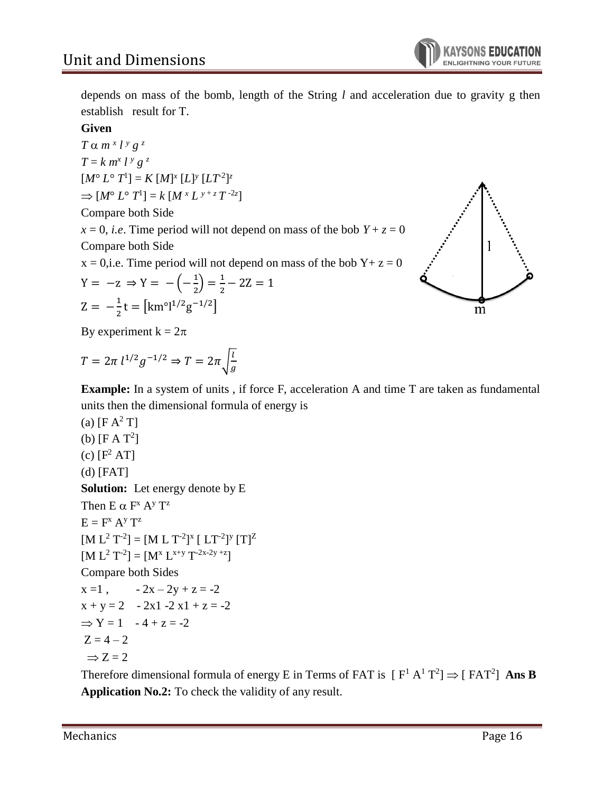depends on mass of the bomb, length of the String *l* and acceleration due to gravity g then establish result for T.

#### **Given**

$$
T \alpha m^{x} l^{y} g^{z}
$$
  
\n
$$
T = k m^{x} l^{y} g^{z}
$$
  
\n
$$
[M^{\circ} L^{\circ} T^{1}] = K [M]^{x} [L]^{y} [LT^{2}]^{z}
$$
  
\n
$$
\Rightarrow [M^{\circ} L^{\circ} T^{1}] = k [M^{x} L^{y+z} T^{-2z}]
$$
  
\nCompare both Side  
\n $x = 0$ , *i.e.* Time period will not depend on mass of the bob  $Y + z = 0$   
\nCompare both Side  
\n $x = 0$ , i.e. Time period will not depend on mass of the bob  $Y + z = 0$   
\n
$$
Y = -z \Rightarrow Y = -(-\frac{1}{2}) = \frac{1}{2} - 2Z = 1
$$
  
\n
$$
Z = -\frac{1}{2}t = [km^{\circ}l^{1/2}g^{-1/2}]
$$

By experiment  $k = 2\pi$ 

$$
T = 2\pi l^{1/2} g^{-1/2} \Rightarrow T = 2\pi \sqrt{\frac{l}{g}}
$$

**Example:** In a system of units , if force F, acceleration A and time T are taken as fundamental units then the dimensional formula of energy is

(a)  $[F A<sup>2</sup> T]$ (b)  $[F A T^2]$ (c)  $[F^2 \text{ AT}]$ (d) [FAT] **Solution:** Let energy denote by E Then  $E \alpha F^x A^y T^z$  $E = F^x A^y T^z$  $[M L<sup>2</sup> T<sup>-2</sup>] = [M L T<sup>-2</sup>]$ <sup>x</sup>  $[LT<sup>-2</sup>]$ <sup>y</sup>  $[T]<sup>Z</sup>$  $[M L<sup>2</sup> T<sup>-2</sup>] = [M<sup>x</sup> L<sup>x+y</sup> T<sup>-2x-2y + z</sup>]$ Compare both Sides  $x = 1$ ,  $-2x - 2y + z = -2$  $x + y = 2 - 2x1 - 2x1 + z = -2$  $\Rightarrow$  Y = 1 - 4 + z = -2  $Z = 4 - 2$  $\Rightarrow$  Z = 2

Therefore dimensional formula of energy E in Terms of FAT is  $[ F<sup>1</sup> A<sup>1</sup> T<sup>2</sup> ] \Rightarrow [ FAT<sup>2</sup> ]$  Ans B **Application No.2:** To check the validity of any result.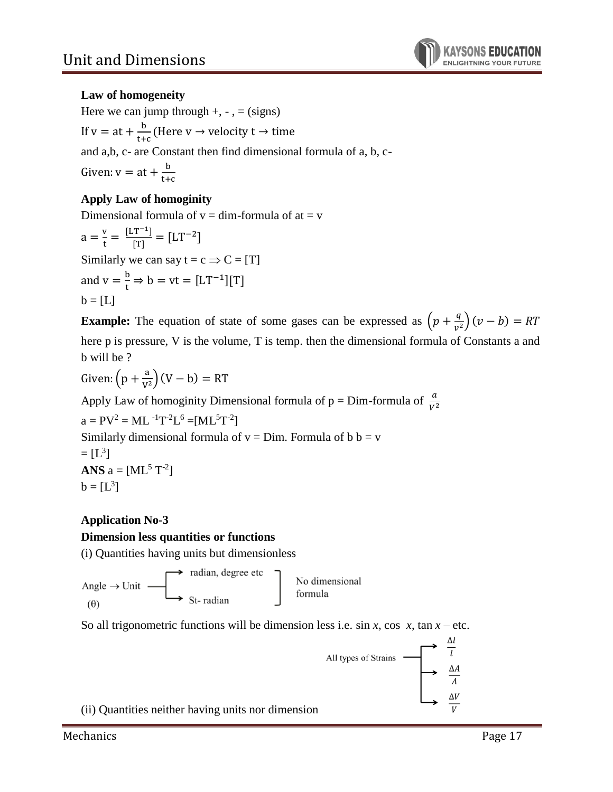

#### **Law of homogeneity**

Here we can jump through  $+$ ,  $-$ ,  $=$  (signs) If  $v = at + \frac{b}{b}$  $\frac{0}{t+c}$  (Here  $v \to$  velocity  $t \to$  time and a,b, c- are Constant then find dimensional formula of a, b, c-Given:  $v = at + \frac{b}{dt}$ t+c

#### **Apply Law of homoginity**

Dimensional formula of  $v = dim$ -formula of at  $= v$ 

$$
a = \frac{v}{t} = \frac{[LT^{-1}]}{[T]} = [LT^{-2}]
$$
  
Similarly we can say  $t = c \Rightarrow C = [T]$   
and  $v = \frac{b}{t} \Rightarrow b = vt = [LT^{-1}][T]$   
 $b = [L]$ 

**Example:** The equation of state of some gases can be expressed as  $\left( p + \frac{q}{n^2} \right)$  $\frac{q}{v^2}$  $(v - b) = RT$ here p is pressure, V is the volume, T is temp. then the dimensional formula of Constants a and b will be ?

Given: 
$$
\left(p + \frac{a}{V^2}\right)(V - b) = RT
$$

Apply Law of homoginity Dimensional formula of  $p = Dim$ -formula of  $\frac{a}{v^2}$  $a = PV^2 = ML^{-1}T^{-2}L^6 = [ML^5T^{-2}]$ Similarly dimensional formula of  $v = Dim$ . Formula of  $b = v$  $=[L^3]$ **ANS**  $a = [ML^5 T^{-2}]$  $b = [L^3]$ 

# **Application No-3**

#### **Dimension less quantities or functions**

(i) Quantities having units but dimensionless



So all trigonometric functions will be dimension less i.e.  $\sin x$ ,  $\cos x$ ,  $\tan x - \text{etc.}$